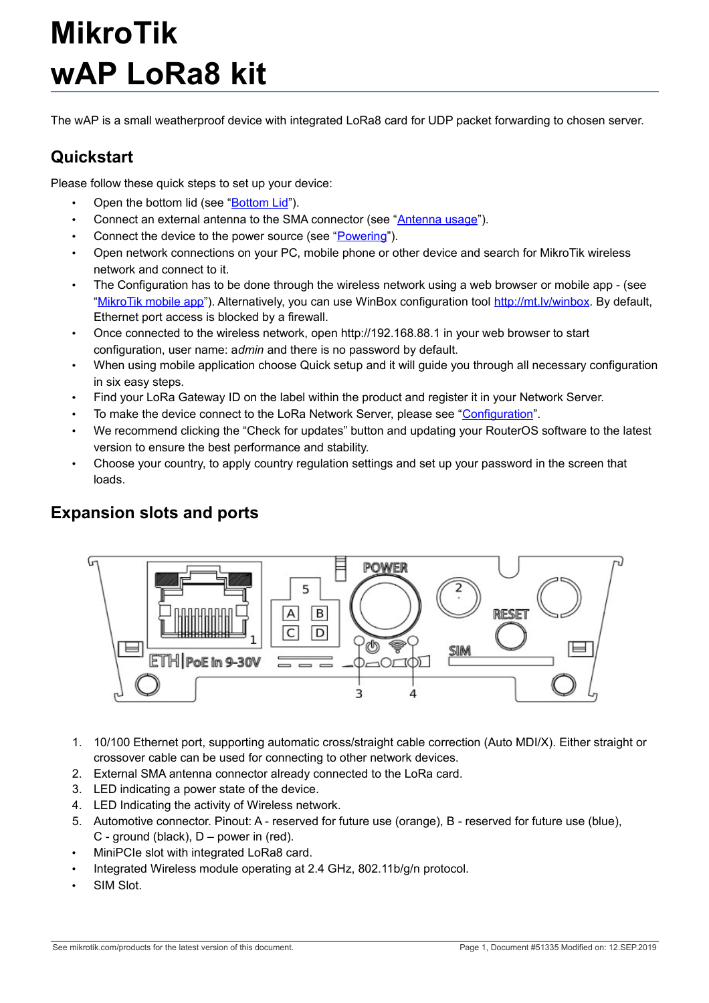# **MikroTik wAP LoRa8 kit**

The wAP is a small weatherproof device with integrated LoRa8 card for UDP packet forwarding to chosen server.

## **Quickstart**

Please follow these quick steps to set up your device:

- Open the bottom lid (see ["Bottom Lid"](#page-3-0)).
- Connect an external antenna to the SMA connector (see ["Antenna usage"](#page-5-0)).
- Connect the device to the power source (see ["Powering"](#page-1-0)).
- Open network connections on your PC, mobile phone or other device and search for MikroTik wireless network and connect to it.
- The Configuration has to be done through the wireless network using a web browser or mobile app (see ["MikroTik mobile app"](#page-4-1)). Alternatively, you can use WinBox configuration tool [http://mt.lv/winbox.](http://mt.lv/winbox) By default, Ethernet port access is blocked by a firewall.
- Once connected to the wireless network, open http://192.168.88.1 in your web browser to start configuration, user name: a*dmin* and there is no password by default.
- When using mobile application choose Quick setup and it will guide you through all necessary configuration in six easy steps.
- Find your LoRa Gateway ID on the label within the product and register it in your Network Server.
- To make the device connect to the LoRa Network Server, please see ["Configuration"](#page-4-0).
- We recommend clicking the "Check for updates" button and updating your RouterOS software to the latest version to ensure the best performance and stability.
- Choose your country, to apply country regulation settings and set up your password in the screen that loads.

### **Expansion slots and ports**



- 1. 10/100 Ethernet port, supporting automatic cross/straight cable correction (Auto MDI/X). Either straight or crossover cable can be used for connecting to other network devices.
- 2. External SMA antenna connector already connected to the LoRa card.
- 3. LED indicating a power state of the device.
- 4. LED Indicating the activity of Wireless network.
- 5. Automotive connector. Pinout: A reserved for future use (orange), B reserved for future use (blue), C - ground (black), D – power in (red).
- MiniPCIe slot with integrated LoRa8 card.
- Integrated Wireless module operating at 2.4 GHz, 802.11b/g/n protocol.
- SIM Slot.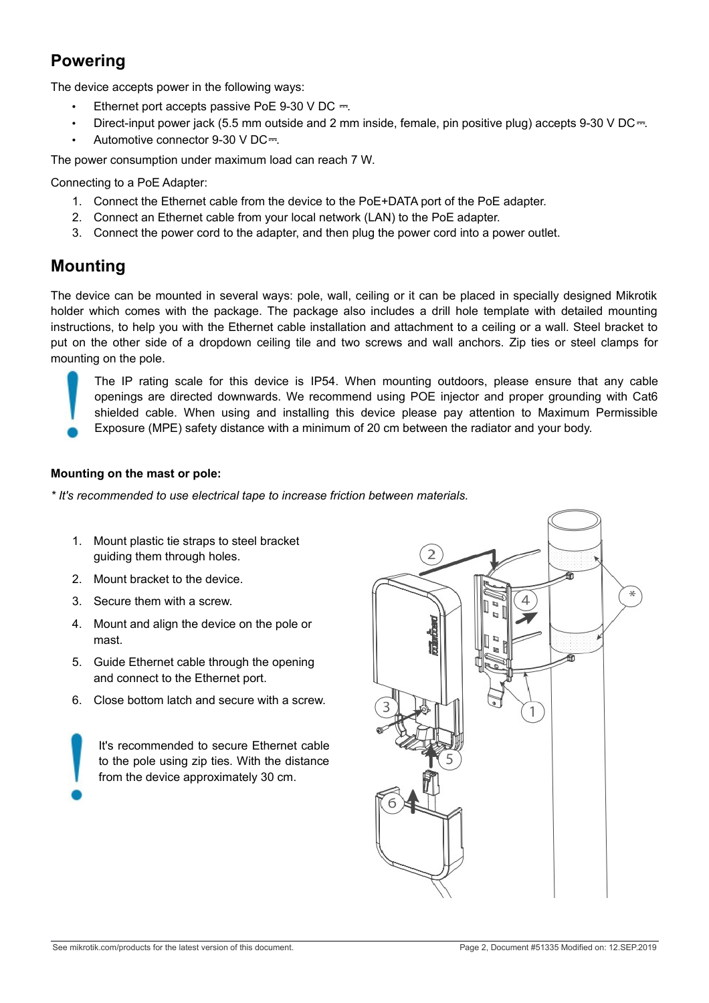# <span id="page-1-0"></span>**Powering**

The device accepts power in the following ways:

- Ethernet port accepts passive PoE 9-30 V DC  $=$ .
- Direct-input power jack (5.5 mm outside and 2 mm inside, female, pin positive plug) accepts 9-30 V DC $-$ .
- Automotive connector 9-30 V DC=.

The power consumption under maximum load can reach 7 W.

Connecting to a PoE Adapter:

- 1. Connect the Ethernet cable from the device to the PoE+DATA port of the PoE adapter.
- 2. Connect an Ethernet cable from your local network (LAN) to the PoE adapter.
- 3. Connect the power cord to the adapter, and then plug the power cord into a power outlet.

#### <span id="page-1-1"></span>**Mounting**

The device can be mounted in several ways: pole, wall, ceiling or it can be placed in specially designed Mikrotik holder which comes with the package. The package also includes a drill hole template with detailed mounting instructions, to help you with the Ethernet cable installation and attachment to a ceiling or a wall. Steel bracket to put on the other side of a dropdown ceiling tile and two screws and wall anchors. Zip ties or steel clamps for mounting on the pole.

The IP rating scale for this device is IP54. When mounting outdoors, please ensure that any cable openings are directed downwards. We recommend using POE injector and proper grounding with Cat6 shielded cable. When using and installing this device please pay attention to Maximum Permissible Exposure (MPE) safety distance with a minimum of 20 cm between the radiator and your body.

#### **Mounting on the mast or pole:**

*\* It's recommended to use electrical tape to increase friction between materials.*

- 1. Mount plastic tie straps to steel bracket guiding them through holes.
- 2. Mount bracket to the device.
- 3. Secure them with a screw.
- 4. Mount and align the device on the pole or mast.
- 5. Guide Ethernet cable through the opening and connect to the Ethernet port.
- 6. Close bottom latch and secure with a screw.

It's recommended to secure Ethernet cable to the pole using zip ties. With the distance from the device approximately 30 cm.

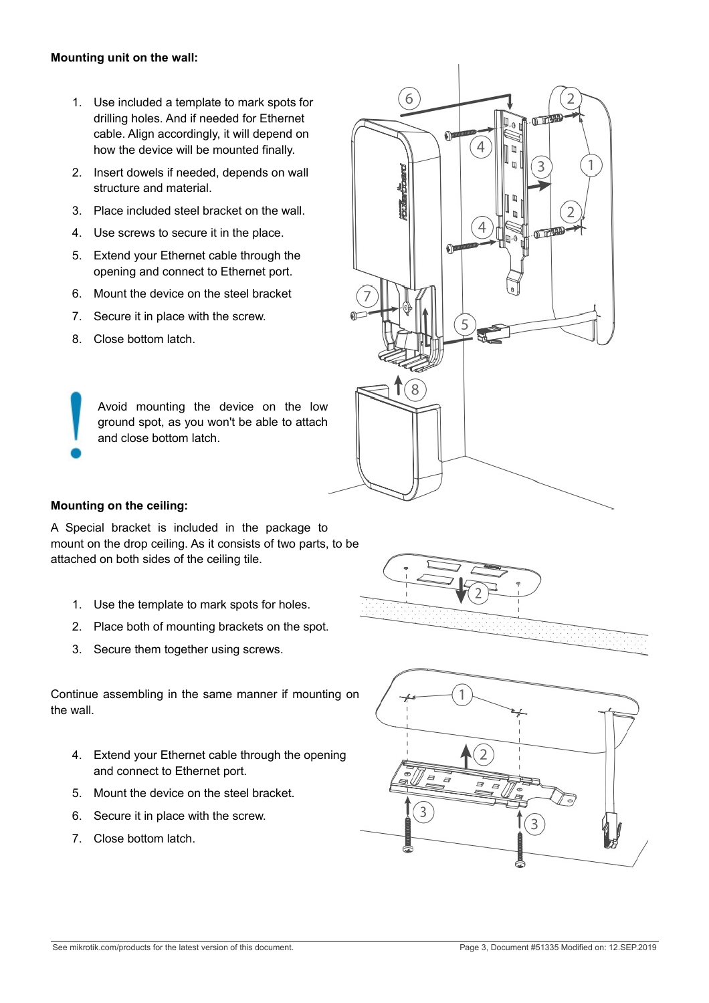#### **Mounting unit on the wall:**

- 1. Use included a template to mark spots for drilling holes. And if needed for Ethernet cable. Align accordingly, it will depend on how the device will be mounted finally.
- 2. Insert dowels if needed, depends on wall structure and material.
- 3. Place included steel bracket on the wall.
- 4. Use screws to secure it in the place.
- 5. Extend your Ethernet cable through the opening and connect to Ethernet port.
- 6. Mount the device on the steel bracket
- 7. Secure it in place with the screw.
- 8. Close bottom latch.

Avoid mounting the device on the low ground spot, as you won't be able to attach and close bottom latch.



#### **Mounting on the ceiling:**

A Special bracket is included in the package to mount on the drop ceiling. As it consists of two parts, to be attached on both sides of the ceiling tile.

- 1. Use the template to mark spots for holes.
- 2. Place both of mounting brackets on the spot.
- 3. Secure them together using screws.

Continue assembling in the same manner if mounting on the wall.

- 4. Extend your Ethernet cable through the opening and connect to Ethernet port.
- 5. Mount the device on the steel bracket.
- 6. Secure it in place with the screw.
- 7. Close bottom latch.

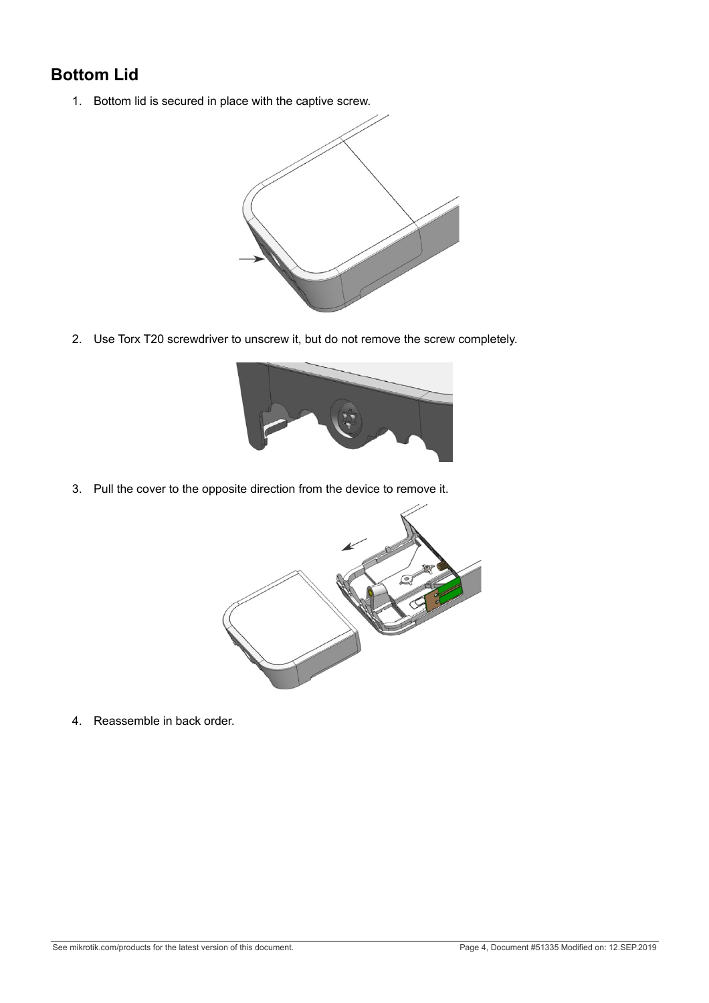# <span id="page-3-0"></span>**Bottom Lid**

1. Bottom lid is secured in place with the captive screw.



2. Use Torx T20 screwdriver to unscrew it, but do not remove the screw completely.



3. Pull the cover to the opposite direction from the device to remove it.



4. Reassemble in back order.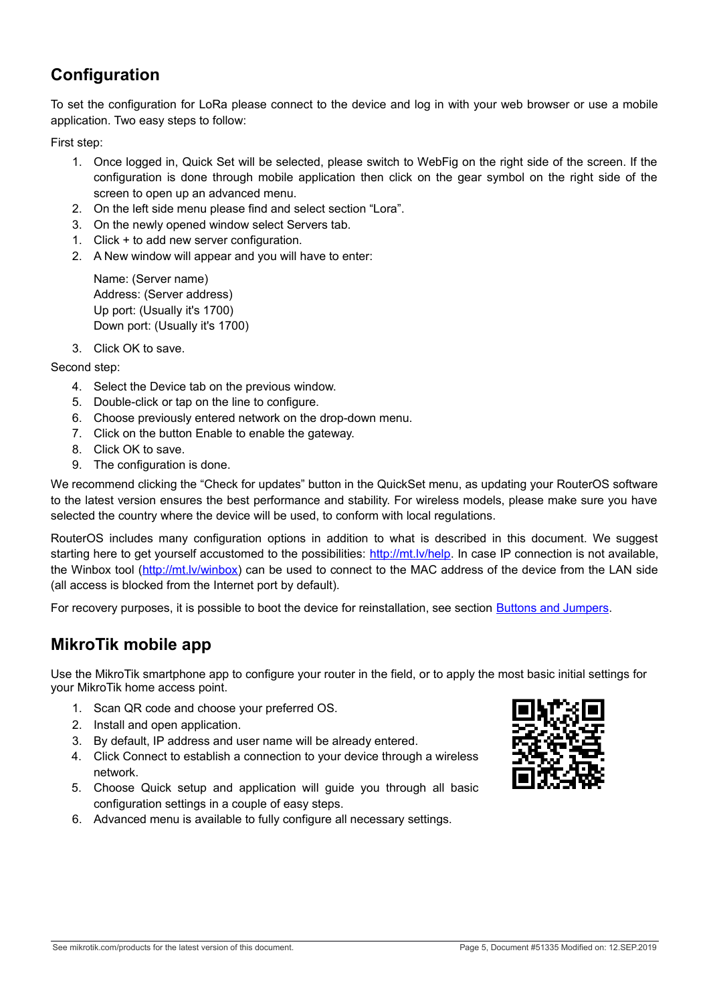# <span id="page-4-0"></span>**Configuration**

To set the configuration for LoRa please connect to the device and log in with your web browser or use a mobile application. Two easy steps to follow:

First step:

- 1. Once logged in, Quick Set will be selected, please switch to WebFig on the right side of the screen. If the configuration is done through mobile application then click on the gear symbol on the right side of the screen to open up an advanced menu.
- 2. On the left side menu please find and select section "Lora".
- 3. On the newly opened window select Servers tab.
- 1. Click + to add new server configuration.
- 2. A New window will appear and you will have to enter:

Name: (Server name) Address: (Server address) Up port: (Usually it's 1700) Down port: (Usually it's 1700)

3. Click OK to save.

Second step:

- 4. Select the Device tab on the previous window.
- 5. Double-click or tap on the line to configure.
- 6. Choose previously entered network on the drop-down menu.
- 7. Click on the button Enable to enable the gateway.
- 8. Click OK to save.
- 9. The configuration is done.

We recommend clicking the "Check for updates" button in the QuickSet menu, as updating your RouterOS software to the latest version ensures the best performance and stability. For wireless models, please make sure you have selected the country where the device will be used, to conform with local regulations.

RouterOS includes many configuration options in addition to what is described in this document. We suggest starting here to get yourself accustomed to the possibilities: [http://mt.lv/help.](http://mt.lv/help) In case IP connection is not available, the Winbox tool [\(http://mt.lv/winbox\)](http://mt.lv/winbox) can be used to connect to the MAC address of the device from the LAN side (all access is blocked from the Internet port by default).

For recovery purposes, it is possible to boot the device for reinstallation, see section [Buttons and Jumpers.](#page-4-2)

#### <span id="page-4-1"></span>**MikroTik mobile app**

Use the MikroTik smartphone app to configure your router in the field, or to apply the most basic initial settings for your MikroTik home access point.

- 1. Scan QR code and choose your preferred OS.
- 2. Install and open application.
- 3. By default, IP address and user name will be already entered.
- 4. Click Connect to establish a connection to your device through a wireless network.
- 5. Choose Quick setup and application will guide you through all basic configuration settings in a couple of easy steps.
- 6. Advanced menu is available to fully configure all necessary settings.

<span id="page-4-2"></span>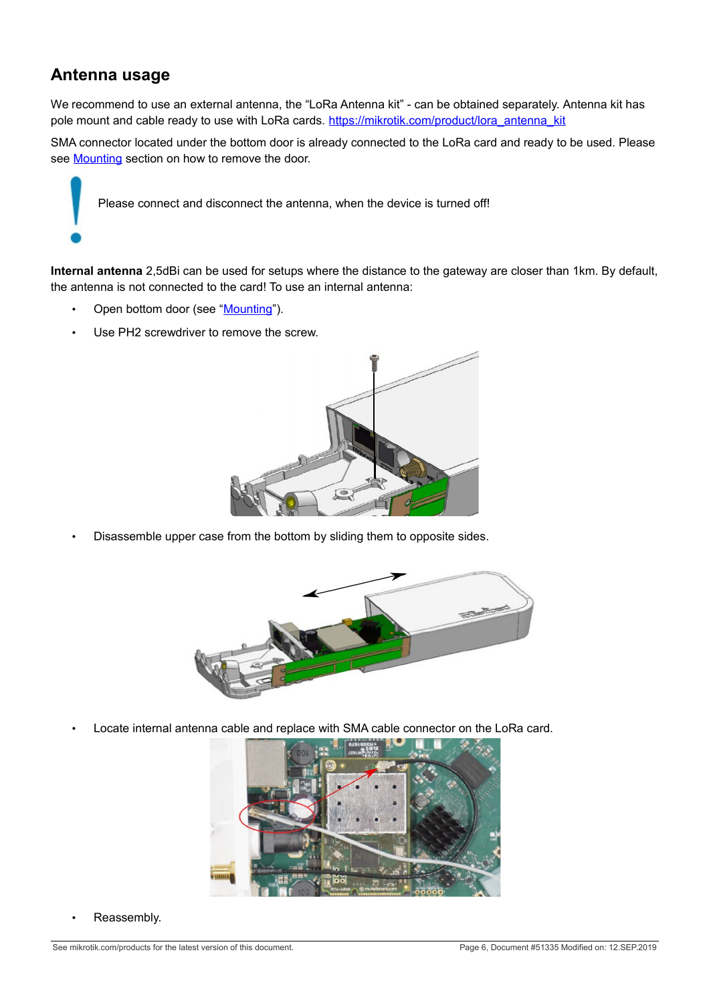#### <span id="page-5-0"></span>**Antenna usage**

We recommend to use an external antenna, the "LoRa Antenna kit" - can be obtained separately. Antenna kit has pole mount and cable ready to use with LoRa cards. [https://mikrotik.com/product/lora\\_antenna\\_kit](https://mikrotik.com/product/lora_antenna_kit)

SMA connector located under the bottom door is already connected to the LoRa card and ready to be used. Please see [Mounting](#page-1-1) section on how to remove the door.

Please connect and disconnect the antenna, when the device is turned off!

**Internal antenna** 2,5dBi can be used for setups where the distance to the gateway are closer than 1km. By default, the antenna is not connected to the card! To use an internal antenna:

- Open bottom door (see ["Mounting"](#page-1-1)).
- Use PH2 screwdriver to remove the screw.



• Disassemble upper case from the bottom by sliding them to opposite sides.



• Locate internal antenna cable and replace with SMA cable connector on the LoRa card.



Reassembly.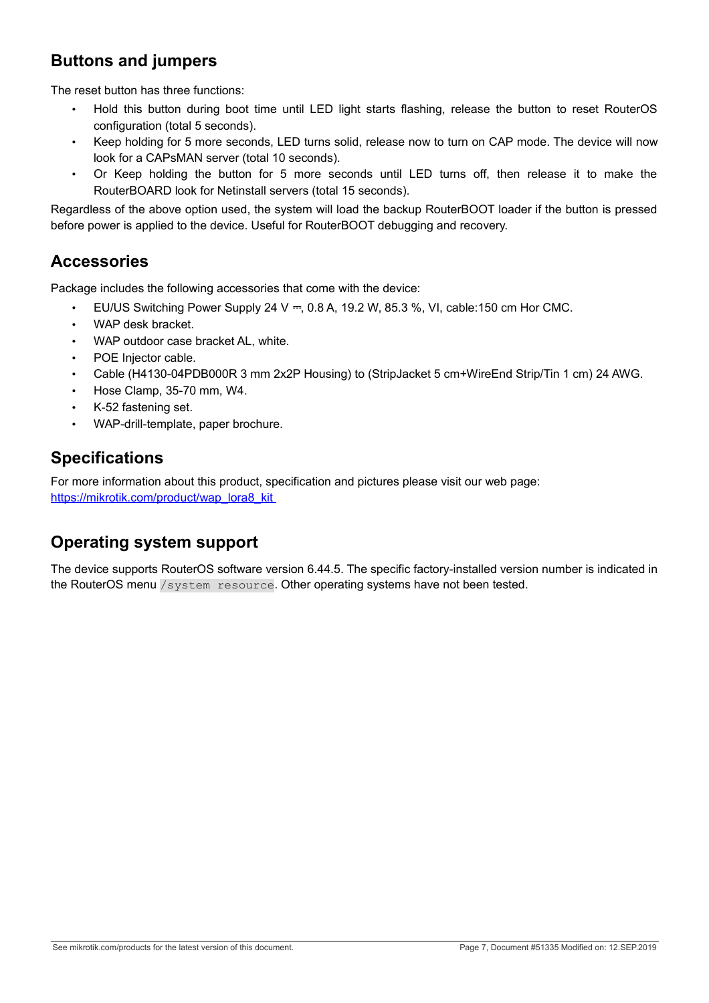### **Buttons and jumpers**

The reset button has three functions:

- Hold this button during boot time until LED light starts flashing, release the button to reset RouterOS configuration (total 5 seconds).
- Keep holding for 5 more seconds, LED turns solid, release now to turn on CAP mode. The device will now look for a CAPsMAN server (total 10 seconds).
- Or Keep holding the button for 5 more seconds until LED turns off, then release it to make the RouterBOARD look for Netinstall servers (total 15 seconds).

Regardless of the above option used, the system will load the backup RouterBOOT loader if the button is pressed before power is applied to the device. Useful for RouterBOOT debugging and recovery.

### **Accessories**

Package includes the following accessories that come with the device:

- EU/US Switching Power Supply 24 V  $=$ , 0.8 A, 19.2 W, 85.3 %, VI, cable:150 cm Hor CMC.
- WAP desk bracket.
- WAP outdoor case bracket AL, white.
- POE Injector cable.
- Cable (H4130-04PDB000R 3 mm 2x2P Housing) to (StripJacket 5 cm+WireEnd Strip/Tin 1 cm) 24 AWG.
- Hose Clamp, 35-70 mm, W4.
- K-52 fastening set.
- WAP-drill-template, paper brochure.

#### **Specifications**

For more information about this product, specification and pictures please visit our web page: https://mikrotik.com/product/wap\_lora8\_kit

### **Operating system support**

The device supports RouterOS software version 6.44.5. The specific factory-installed version number is indicated in the RouterOS menu /system resource. Other operating systems have not been tested.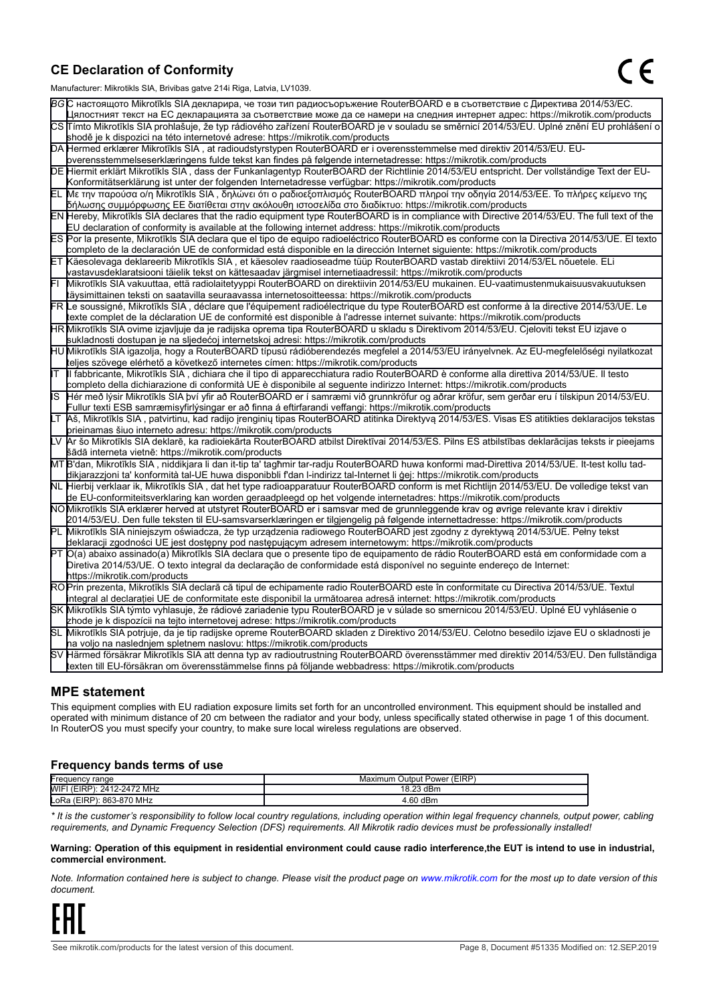#### **CE Declaration of Conformity**

Manufacturer: Mikrotikls SIA, Brivibas gatve 214i Riga, Latvia, LV1039.

|                                                                                                                                                                                                                      | $m$ ananao $m$ . Iviini olinis Oli I, Drivibas yatvo $L$ i $\pi$ i Tiiga, Latvia, Lv Toos.                                                                                                                                                       |  |
|----------------------------------------------------------------------------------------------------------------------------------------------------------------------------------------------------------------------|--------------------------------------------------------------------------------------------------------------------------------------------------------------------------------------------------------------------------------------------------|--|
|                                                                                                                                                                                                                      | ВСС настоящото Mikrotīkls SIA декларира, че този тип радиосъоръжение RouterBOARD е в съответствие с Директива 2014/53/EC.                                                                                                                        |  |
|                                                                                                                                                                                                                      | Цялостният текст на ЕС декларацията за съответствие може да се намери на следния интернет адрес: https://mikrotik.com/products                                                                                                                   |  |
|                                                                                                                                                                                                                      | CS Tímto Mikrotīkls SIA prohlašuje, že typ rádiového zařízení RouterBOARD je v souladu se směrnicí 2014/53/EU. Úplné znění EU prohlášení o                                                                                                       |  |
| shodě je k dispozici na této internetové adrese: https://mikrotik.com/products                                                                                                                                       |                                                                                                                                                                                                                                                  |  |
|                                                                                                                                                                                                                      | DA Hermed erklærer Mikrotīkls SIA, at radioudstyrstypen RouterBOARD er i overensstemmelse med direktiv 2014/53/EU. EU-                                                                                                                           |  |
|                                                                                                                                                                                                                      | overensstemmelseserklæringens fulde tekst kan findes på følgende internetadresse: https://mikrotik.com/products                                                                                                                                  |  |
|                                                                                                                                                                                                                      | DE Hiermit erklärt Mikrotīkls SIA, dass der Funkanlagentyp RouterBOARD der Richtlinie 2014/53/EU entspricht. Der vollständige Text der EU-                                                                                                       |  |
|                                                                                                                                                                                                                      | Konformitätserklärung ist unter der folgenden Internetadresse verfügbar: https://mikrotik.com/products                                                                                                                                           |  |
|                                                                                                                                                                                                                      | ΕL Με την παρούσα ο/η Mikrotīkls SIA , δηλώνει ότι ο ραδιοεξοπλισμός RouterBOARD πληροί την οδηγία 2014/53/ΕΕ. Το πλήρες κείμενο της<br> δήλωσης συμμόρφωσης ΕΕ διατίθεται στην ακόλουθη ιστοσελίδα στο διαδίκτυο: https://mikrotik.com/products |  |
|                                                                                                                                                                                                                      | EN Hereby, Mikrotīkls SIA declares that the radio equipment type RouterBOARD is in compliance with Directive 2014/53/EU. The full text of the                                                                                                    |  |
|                                                                                                                                                                                                                      | EU declaration of conformity is available at the following internet address: https://mikrotik.com/products                                                                                                                                       |  |
|                                                                                                                                                                                                                      | ES Por la presente, Mikrotīkls SIA declara que el tipo de equipo radioeléctrico RouterBOARD es conforme con la Directiva 2014/53/UE. El texto                                                                                                    |  |
|                                                                                                                                                                                                                      | completo de la declaración UE de conformidad está disponible en la dirección Internet siguiente: https://mikrotik.com/products                                                                                                                   |  |
|                                                                                                                                                                                                                      | ET Käesolevaga deklareerib Mikrotīkls SIA, et käesolev raadioseadme tüüp RouterBOARD vastab direktiivi 2014/53/EL nõuetele. ELi                                                                                                                  |  |
|                                                                                                                                                                                                                      | vastavusdeklaratsiooni täielik tekst on kättesaadav järgmisel internetiaadressil: https://mikrotik.com/products                                                                                                                                  |  |
|                                                                                                                                                                                                                      | Mikrotīkls SIA vakuuttaa, että radiolaitetyyppi RouterBOARD on direktiivin 2014/53/EU mukainen. EU-vaatimustenmukaisuusvakuutuksen                                                                                                               |  |
|                                                                                                                                                                                                                      | täysimittainen teksti on saatavilla seuraavassa internetosoitteessa: https://mikrotik.com/products                                                                                                                                               |  |
|                                                                                                                                                                                                                      | FR Le soussigné, Mikrotīkls SIA, déclare que l'équipement radioélectrique du type RouterBOARD est conforme à la directive 2014/53/UE. Le                                                                                                         |  |
|                                                                                                                                                                                                                      | texte complet de la déclaration UE de conformité est disponible à l'adresse internet suivante: https://mikrotik.com/products                                                                                                                     |  |
|                                                                                                                                                                                                                      | HR Mikrotīkls SIA ovime izjavljuje da je radijska oprema tipa RouterBOARD u skladu s Direktivom 2014/53/EU. Cjeloviti tekst EU izjave o                                                                                                          |  |
|                                                                                                                                                                                                                      | sukladnosti dostupan je na sljedećoj internetskoj adresi: https://mikrotik.com/products                                                                                                                                                          |  |
|                                                                                                                                                                                                                      | HU Mikrotīkls SIA igazolja, hogy a RouterBOARD típusú rádióberendezés megfelel a 2014/53/EU irányelvnek. Az EU-megfelelőségi nyilatkozat                                                                                                         |  |
|                                                                                                                                                                                                                      | teljes szövege elérhető a következő internetes címen: https://mikrotik.com/products                                                                                                                                                              |  |
| lΤ                                                                                                                                                                                                                   | Il fabbricante, Mikrotīkls SIA, dichiara che il tipo di apparecchiatura radio RouterBOARD è conforme alla direttiva 2014/53/UE. Il testo                                                                                                         |  |
|                                                                                                                                                                                                                      | completo della dichiarazione di conformità UE è disponibile al seguente indirizzo Internet: https://mikrotik.com/products                                                                                                                        |  |
| IS<br>Hér með lýsir Mikrotīkls SIA því yfir að RouterBOARD er í samræmi við grunnkröfur og aðrar kröfur, sem gerðar eru í tilskipun 2014/53/EU.                                                                      |                                                                                                                                                                                                                                                  |  |
| Fullur texti ESB samræmisyfirlýsingar er að finna á eftirfarandi veffangi: https://mikrotik.com/products                                                                                                             |                                                                                                                                                                                                                                                  |  |
| LT Aš, Mikrotīkls SIA, patvirtinu, kad radijo įrenginių tipas RouterBOARD atitinka Direktyvą 2014/53/ES. Visas ES atitikties deklaracijos tekstas<br>prieinamas šiuo interneto adresu: https://mikrotik.com/products |                                                                                                                                                                                                                                                  |  |
| Ar šo Mikrotīkls SIA deklarē, ka radioiekārta RouterBOARD atbilst Direktīvai 2014/53/ES. Pilns ES atbilstības deklarācijas teksts ir pieejams                                                                        |                                                                                                                                                                                                                                                  |  |
| šādā interneta vietnē: https://mikrotik.com/products                                                                                                                                                                 |                                                                                                                                                                                                                                                  |  |
|                                                                                                                                                                                                                      | MT B'dan, Mikrotīkls SIA, niddikjara li dan it-tip ta' tagħmir tar-radju RouterBOARD huwa konformi mad-Direttiva 2014/53/UE. It-test kollu tad-                                                                                                  |  |
|                                                                                                                                                                                                                      | dikjarazzjoni ta' konformità tal-UE huwa disponibbli f'dan l-indirizz tal-Internet li ġej: https://mikrotik.com/products                                                                                                                         |  |
|                                                                                                                                                                                                                      | NL Hierbij verklaar ik, Mikrotīkls SIA , dat het type radioapparatuur RouterBOARD conform is met Richtlijn 2014/53/EU. De volledige tekst van                                                                                                    |  |
|                                                                                                                                                                                                                      | de EU-conformiteitsverklaring kan worden geraadpleegd op het volgende internetadres: https://mikrotik.com/products                                                                                                                               |  |
|                                                                                                                                                                                                                      | NOMikrotīkls SIA erklærer herved at utstyret RouterBOARD er i samsvar med de grunnleggende krav og øvrige relevante krav i direktiv                                                                                                              |  |
|                                                                                                                                                                                                                      | 2014/53/EU. Den fulle teksten til EU-samsvarserklæringen er tilgjengelig på følgende internettadresse: https://mikrotik.com/products                                                                                                             |  |
|                                                                                                                                                                                                                      | PL Mikrotīkls SIA niniejszym oświadcza, że typ urządzenia radiowego RouterBOARD jest zgodny z dyrektywą 2014/53/UE. Pełny tekst                                                                                                                  |  |
|                                                                                                                                                                                                                      | deklaracji zgodności UE jest dostępny pod następującym adresem internetowym: https://mikrotik.com/products                                                                                                                                       |  |
|                                                                                                                                                                                                                      | PT O(a) abaixo assinado(a) Mikrotīkls SIA declara que o presente tipo de equipamento de rádio RouterBOARD está em conformidade com a                                                                                                             |  |
|                                                                                                                                                                                                                      | Diretiva 2014/53/UE. O texto integral da declaração de conformidade está disponível no seguinte endereço de Internet:                                                                                                                            |  |
|                                                                                                                                                                                                                      | https://mikrotik.com/products                                                                                                                                                                                                                    |  |
|                                                                                                                                                                                                                      | ROPrin prezenta, Mikrotīkls SIA declară că tipul de echipamente radio RouterBOARD este în conformitate cu Directiva 2014/53/UE. Textul                                                                                                           |  |
|                                                                                                                                                                                                                      | integral al declarației UE de conformitate este disponibil la următoarea adresă internet: https://mikrotik.com/products                                                                                                                          |  |
|                                                                                                                                                                                                                      | SK Mikrotīkls SIA týmto vyhlasuje, že rádiové zariadenie typu RouterBOARD je v súlade so smernicou 2014/53/EÚ. Úplné EÚ vyhlásenie o                                                                                                             |  |
|                                                                                                                                                                                                                      | zhode je k dispozícii na tejto internetovej adrese: https://mikrotik.com/products                                                                                                                                                                |  |
|                                                                                                                                                                                                                      | SL Mikrotīkls SIA potrjuje, da je tip radijske opreme RouterBOARD skladen z Direktivo 2014/53/EU. Celotno besedilo izjave EU o skladnosti je                                                                                                     |  |
|                                                                                                                                                                                                                      | na voljo na naslednjem spletnem naslovu: https://mikrotik.com/products                                                                                                                                                                           |  |
|                                                                                                                                                                                                                      | SV Härmed försäkrar Mikrotīkls SIA att denna typ av radioutrustning RouterBOARD överensstämmer med direktiv 2014/53/EU. Den fullständiga                                                                                                         |  |
|                                                                                                                                                                                                                      | texten till EU-försäkran om överensstämmelse finns på följande webbadress: https://mikrotik.com/products                                                                                                                                         |  |

#### **MPE statement**

This equipment complies with EU radiation exposure limits set forth for an uncontrolled environment. This equipment should be installed and operated with minimum distance of 20 cm between the radiator and your body, unless specifically stated otherwise in page 1 of this document. In RouterOS you must specify your country, to make sure local wireless regulations are observed.

#### **Frequency bands terms of use**

| <b>Frequency range</b>                | (EIRP<br>Jutput Power ("<br>Maximum |  |  |
|---------------------------------------|-------------------------------------|--|--|
| <b>MIF</b><br>2412-2472 MHz<br>(EIRP) | 18.23<br>dBm                        |  |  |
| 3-870 MHz<br>863<br>LoRa              | -60                                 |  |  |
|                                       |                                     |  |  |

*\* It is the customer's responsibility to follow local country regulations, including operation within legal frequency channels, output power, cabling requirements, and Dynamic Frequency Selection (DFS) requirements. All Mikrotik radio devices must be professionally installed!*

#### **Warning: Operation of this equipment in residential environment could cause radio interference**,**the EUT is intend to use in industrial, commercial environment.**

*Note. Information contained here is subject to change. Please visit the product page on www.mikrotik.com for the most up to date version of this document.*